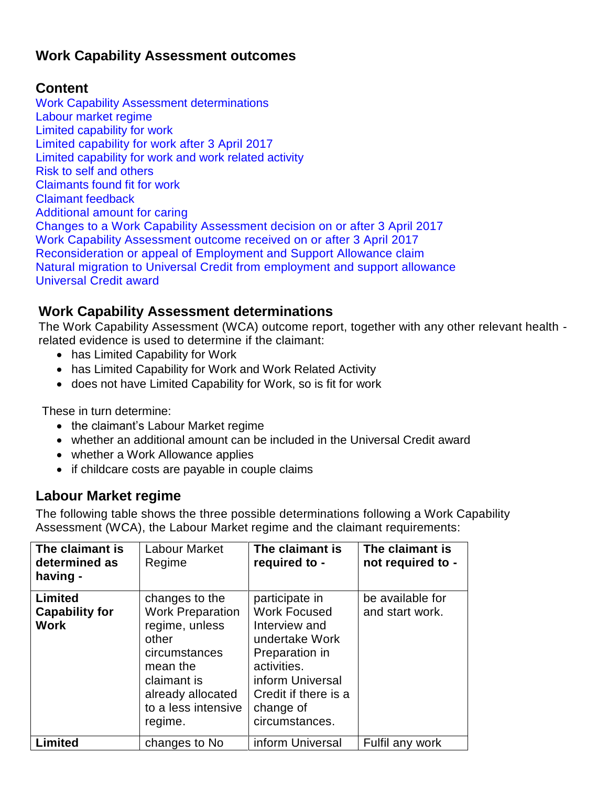## **Work Capability Assessment outcomes**

### **Content**

[Work Capability Assessment determinations](#page-0-0) [Labour market regime](#page-0-1) [Limited capability for work](#page-1-0) [Limited capability for work after 3 April 2017](#page-1-1) [Limited capability for work and work related activity](#page-2-0) Risk to self and others [Claimants found fit for work](#page-2-1) [Claimant feedback](#page-3-0) [Additional amount for caring](#page-3-1) [Changes to a Work Capability Assessment decision on or after 3 April 2017](#page-3-2) [Work Capability Assessment outcome received on or after 3 April 2017](#page-4-0) [Reconsideration or appeal of Employment and Support Allowance claim](#page-4-1) [Natural migration to Universal Credit from employment and support allowance](#page-5-0) [Universal Credit award](#page-5-1)

### <span id="page-0-0"></span>**Work Capability Assessment determinations**

The Work Capability Assessment (WCA) outcome report, together with any other relevant health related evidence is used to determine if the claimant:

- has Limited Capability for Work
- has Limited Capability for Work and Work Related Activity
- does not have Limited Capability for Work, so is fit for work

These in turn determine:

- the claimant's Labour Market regime
- whether an additional amount can be included in the Universal Credit award
- whether a Work Allowance applies
- if childcare costs are payable in couple claims

### <span id="page-0-1"></span>**Labour Market regime**

The following table shows the three possible determinations following a Work Capability Assessment (WCA), the Labour Market regime and the claimant requirements:

| The claimant is<br>determined as<br>having -    | <b>Labour Market</b><br>Regime                                                                                                                                          | The claimant is<br>required to -                                                                                                                                                     | The claimant is<br>not required to - |
|-------------------------------------------------|-------------------------------------------------------------------------------------------------------------------------------------------------------------------------|--------------------------------------------------------------------------------------------------------------------------------------------------------------------------------------|--------------------------------------|
| Limited<br><b>Capability for</b><br><b>Work</b> | changes to the<br><b>Work Preparation</b><br>regime, unless<br>other<br>circumstances<br>mean the<br>claimant is<br>already allocated<br>to a less intensive<br>regime. | participate in<br><b>Work Focused</b><br>Interview and<br>undertake Work<br>Preparation in<br>activities.<br>inform Universal<br>Credit if there is a<br>change of<br>circumstances. | be available for<br>and start work.  |
| <b>Limited</b>                                  | changes to No                                                                                                                                                           | inform Universal                                                                                                                                                                     | Fulfil any work                      |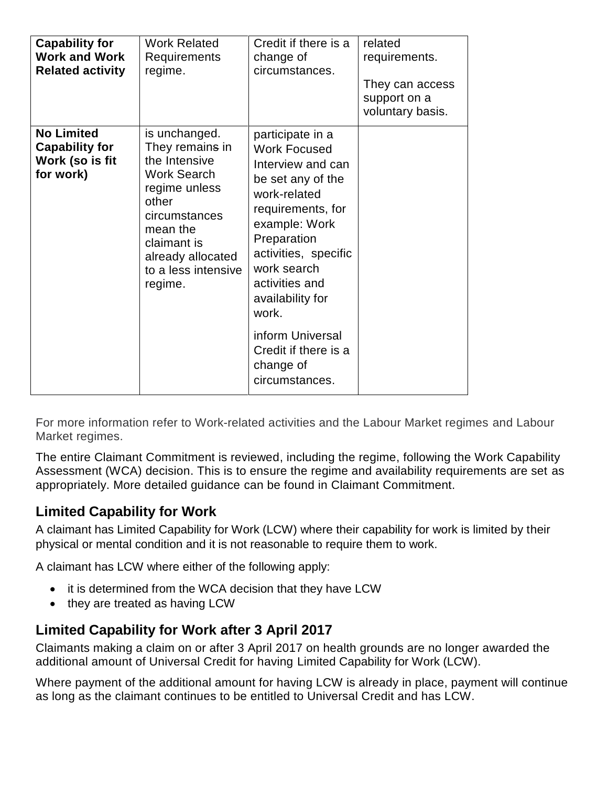| <b>Capability for</b><br><b>Work and Work</b><br><b>Related activity</b>   | <b>Work Related</b><br>Requirements<br>regime.                                                                                                                                                       | Credit if there is a<br>change of<br>circumstances.                                                                                                                                                                                                                                                                     | related<br>requirements.<br>They can access<br>support on a<br>voluntary basis. |
|----------------------------------------------------------------------------|------------------------------------------------------------------------------------------------------------------------------------------------------------------------------------------------------|-------------------------------------------------------------------------------------------------------------------------------------------------------------------------------------------------------------------------------------------------------------------------------------------------------------------------|---------------------------------------------------------------------------------|
| <b>No Limited</b><br><b>Capability for</b><br>Work (so is fit<br>for work) | is unchanged.<br>They remains in<br>the Intensive<br><b>Work Search</b><br>regime unless<br>other<br>circumstances<br>mean the<br>claimant is<br>already allocated<br>to a less intensive<br>regime. | participate in a<br><b>Work Focused</b><br>Interview and can<br>be set any of the<br>work-related<br>requirements, for<br>example: Work<br>Preparation<br>activities, specific<br>work search<br>activities and<br>availability for<br>work.<br>inform Universal<br>Credit if there is a<br>change of<br>circumstances. |                                                                                 |

For more information refer to Work-related activities and the Labour Market regimes and Labour Market regimes.

The entire Claimant Commitment is reviewed, including the regime, following the Work Capability Assessment (WCA) decision. This is to ensure the regime and availability requirements are set as appropriately. More detailed guidance can be found in Claimant Commitment.

## <span id="page-1-0"></span>**Limited Capability for Work**

A claimant has Limited Capability for Work (LCW) where their capability for work is limited by their physical or mental condition and it is not reasonable to require them to work.

A claimant has LCW where either of the following apply:

- it is determined from the WCA decision that they have LCW
- they are treated as having LCW

### <span id="page-1-1"></span>**Limited Capability for Work after 3 April 2017**

Claimants making a claim on or after 3 April 2017 on health grounds are no longer awarded the additional amount of Universal Credit for having Limited Capability for Work (LCW).

Where payment of the additional amount for having LCW is already in place, payment will continue as long as the claimant continues to be entitled to Universal Credit and has LCW.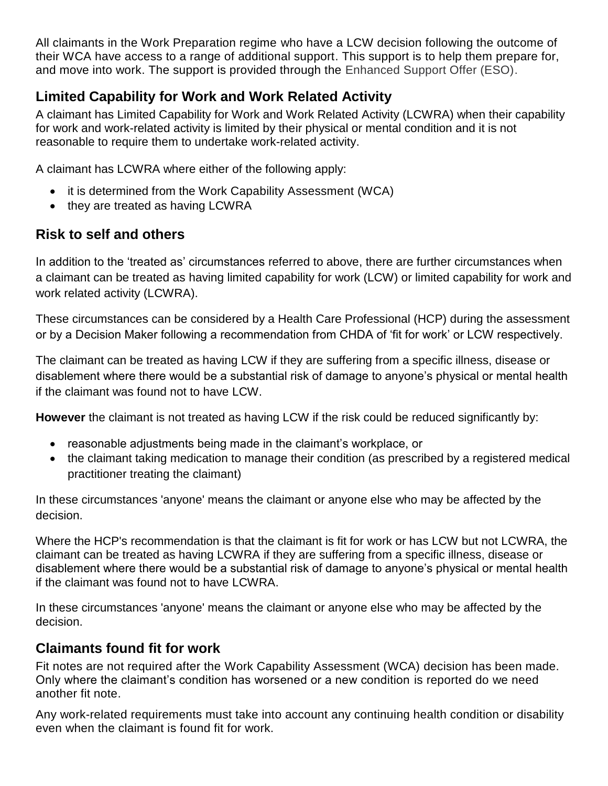All claimants in the Work Preparation regime who have a LCW decision following the outcome of their WCA have access to a range of additional support. This support is to help them prepare for, and move into work. The support is provided through the Enhanced Support Offer (ESO).

## <span id="page-2-0"></span>**Limited Capability for Work and Work Related Activity**

A claimant has Limited Capability for Work and Work Related Activity (LCWRA) when their capability for work and work-related activity is limited by their physical or mental condition and it is not reasonable to require them to undertake work-related activity.

A claimant has LCWRA where either of the following apply:

- it is determined from the Work Capability Assessment (WCA)
- they are treated as having LCWRA

# <span id="page-2-1"></span>**Risk to self and others**

In addition to the 'treated as' circumstances referred to above, there are further circumstances when a claimant can be treated as having limited capability for work (LCW) or limited capability for work and work related activity (LCWRA).

These circumstances can be considered by a Health Care Professional (HCP) during the assessment or by a Decision Maker following a recommendation from CHDA of 'fit for work' or LCW respectively.

The claimant can be treated as having LCW if they are suffering from a specific illness, disease or disablement where there would be a substantial risk of damage to anyone's physical or mental health if the claimant was found not to have LCW.

**However** the claimant is not treated as having LCW if the risk could be reduced significantly by:

- reasonable adjustments being made in the claimant's workplace, or
- the claimant taking medication to manage their condition (as prescribed by a registered medical practitioner treating the claimant)

In these circumstances 'anyone' means the claimant or anyone else who may be affected by the decision.

Where the HCP's recommendation is that the claimant is fit for work or has LCW but not LCWRA, the claimant can be treated as having LCWRA if they are suffering from a specific illness, disease or disablement where there would be a substantial risk of damage to anyone's physical or mental health if the claimant was found not to have LCWRA.

In these circumstances 'anyone' means the claimant or anyone else who may be affected by the decision.

## **Claimants found fit for work**

Fit notes are not required after the Work Capability Assessment (WCA) decision has been made. Only where the claimant's condition has worsened or a new condition is reported do we need another fit note.

Any work-related requirements must take into account any continuing health condition or disability even when the claimant is found fit for work.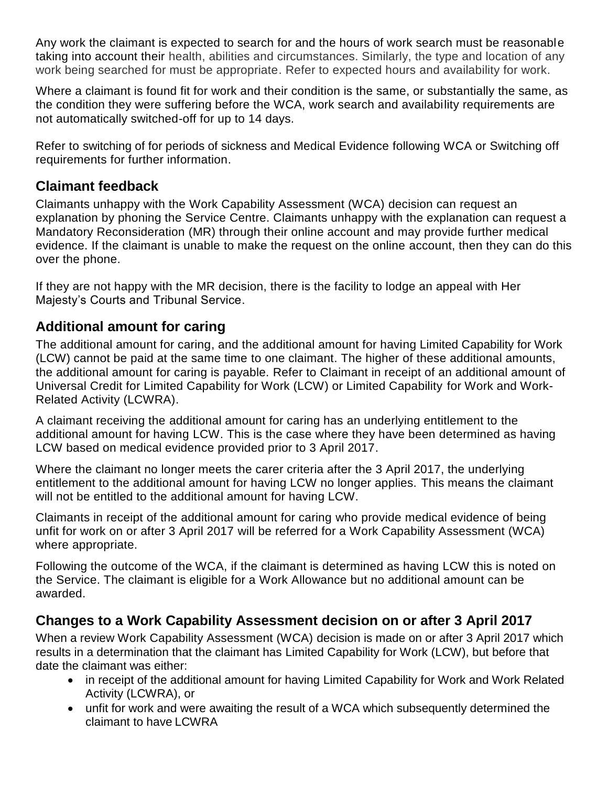Any work the claimant is expected to search for and the hours of work search must be reasonable taking into account their health, abilities and circumstances. Similarly, the type and location of any work being searched for must be appropriate. Refer to expected hours and availability for work.

Where a claimant is found fit for work and their condition is the same, or substantially the same, as the condition they were suffering before the WCA, work search and availability requirements are not automatically switched-off for up to 14 days.

Refer to switching of for periods of sickness and Medical Evidence following WCA or [Switching off](https://intranet.dwp.gov.uk/policy/switching-requirements-easements-labour-market-regime-interventions)  [requirements](https://intranet.dwp.gov.uk/policy/switching-requirements-easements-labour-market-regime-interventions) for further information.

### <span id="page-3-0"></span>**Claimant feedback**

Claimants unhappy with the Work Capability Assessment (WCA) decision can request an explanation by phoning the Service Centre. Claimants unhappy with the explanation can request a Mandatory Reconsideration (MR) through their online account and may provide further medical evidence. If the claimant is unable to make the request on the online account, then they can do this over the phone.

If they are not happy with the MR decision, there is the facility to lodge an appeal with Her Majesty's Courts and Tribunal Service.

## <span id="page-3-1"></span>**Additional amount for caring**

The additional amount for caring, and the additional amount for having Limited Capability for Work (LCW) cannot be paid at the same time to one claimant. The higher of these additional amounts, the additional amount for caring is payable. Refer to Claimant in receipt of an additional amount of Universal Credit for Limited Capability for Work (LCW) or Limited Capability for Work and Work-Related Activity (LCWRA).

A claimant receiving the additional amount for caring has an underlying entitlement to the additional amount for having LCW. This is the case where they have been determined as having LCW based on medical evidence provided prior to 3 April 2017.

Where the claimant no longer meets the carer criteria after the 3 April 2017, the underlying entitlement to the additional amount for having LCW no longer applies. This means the claimant will not be entitled to the additional amount for having LCW.

Claimants in receipt of the additional amount for caring who provide medical evidence of being unfit for work on or after 3 April 2017 will be referred for a Work Capability Assessment (WCA) where appropriate.

Following the outcome of the WCA, if the claimant is determined as having LCW this is noted on the Service. The claimant is eligible for a Work Allowance but no additional amount can be awarded.

### <span id="page-3-2"></span>**Changes to a Work Capability Assessment decision on or after 3 April 2017**

When a review Work Capability Assessment (WCA) decision is made on or after 3 April 2017 which results in a determination that the claimant has Limited Capability for Work (LCW), but before that date the claimant was either:

- in receipt of the additional amount for having Limited Capability for Work and Work Related Activity (LCWRA), or
- unfit for work and were awaiting the result of a WCA which subsequently determined the claimant to have LCWRA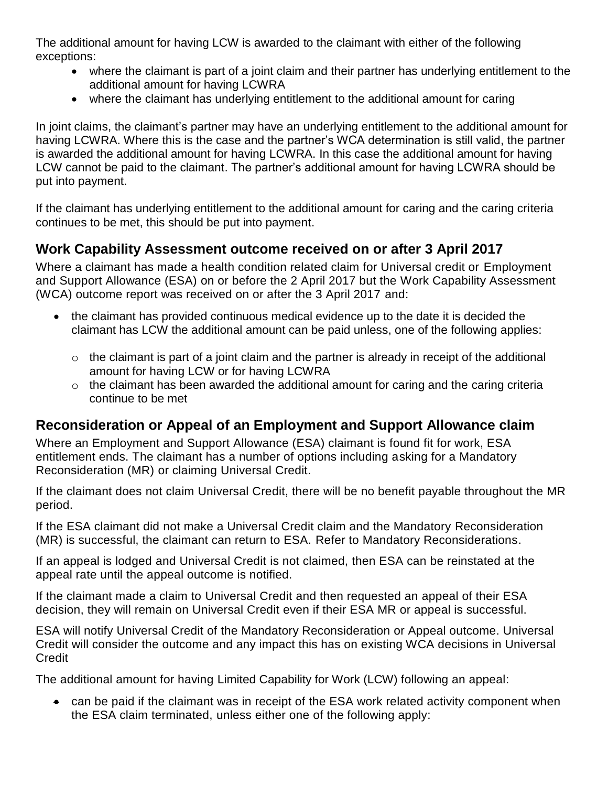The additional amount for having LCW is awarded to the claimant with either of the following exceptions:

- where the claimant is part of a joint claim and their partner has underlying entitlement to the additional amount for having LCWRA
- where the claimant has underlying entitlement to the additional amount for caring

In joint claims, the claimant's partner may have an underlying entitlement to the additional amount for having LCWRA. Where this is the case and the partner's WCA determination is still valid, the partner is awarded the additional amount for having LCWRA. In this case the additional amount for having LCW cannot be paid to the claimant. The partner's additional amount for having LCWRA should be put into payment.

If the claimant has underlying entitlement to the additional amount for caring and the caring criteria continues to be met, this should be put into payment.

## <span id="page-4-0"></span>**Work Capability Assessment outcome received on or after 3 April 2017**

Where a claimant has made a health condition related claim for Universal credit or Employment and Support Allowance (ESA) on or before the 2 April 2017 but the Work Capability Assessment (WCA) outcome report was received on or after the 3 April 2017 and:

- the claimant has provided continuous medical evidence up to the date it is decided the claimant has LCW the additional amount can be paid unless, one of the following applies:
	- $\circ$  the claimant is part of a joint claim and the partner is already in receipt of the additional amount for having LCW or for having LCWRA
	- $\circ$  the claimant has been awarded the additional amount for caring and the caring criteria continue to be met

## <span id="page-4-1"></span>**Reconsideration or Appeal of an Employment and Support Allowance claim**

Where an Employment and Support Allowance (ESA) claimant is found fit for work, ESA entitlement ends. The claimant has a number of options including asking for a Mandatory Reconsideration (MR) or claiming Universal Credit.

If the claimant does not claim Universal Credit, there will be no benefit payable throughout the MR period.

If the ESA claimant did not make a Universal Credit claim and the Mandatory Reconsideration (MR) is successful, the claimant can return to ESA. Refer to Mandatory Reconsiderations.

If an appeal is lodged and Universal Credit is not claimed, then ESA can be reinstated at the appeal rate until the appeal outcome is notified.

If the claimant made a claim to Universal Credit and then requested an appeal of their ESA decision, they will remain on Universal Credit even if their ESA MR or appeal is successful.

ESA will notify Universal Credit of the Mandatory Reconsideration or Appeal outcome. Universal Credit will consider the outcome and any impact this has on existing WCA decisions in Universal **Credit** 

The additional amount for having Limited Capability for Work (LCW) following an appeal:

 can be paid if the claimant was in receipt of the ESA work related activity component when the ESA claim terminated, unless either one of the following apply: